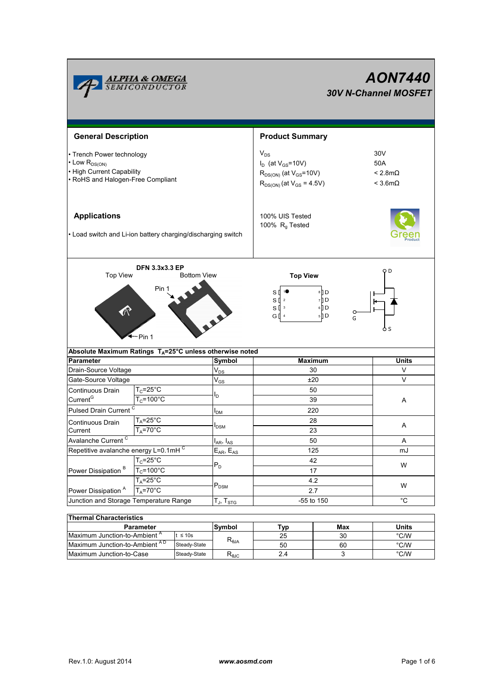| <b>ALPHA &amp; OMEGA</b><br>SEMICONDUCTOR                                                                                |                                                                      |                               | <b>AON7440</b><br><b>30V N-Channel MOSFET</b>                                                                 |                                                                   |  |  |  |
|--------------------------------------------------------------------------------------------------------------------------|----------------------------------------------------------------------|-------------------------------|---------------------------------------------------------------------------------------------------------------|-------------------------------------------------------------------|--|--|--|
| <b>General Description</b>                                                                                               |                                                                      |                               | <b>Product Summary</b>                                                                                        |                                                                   |  |  |  |
| • Trench Power technology<br>• Low R <sub>DS(ON)</sub><br>• High Current Capability<br>• RoHS and Halogen-Free Compliant |                                                                      |                               | $V_{DS}$<br>$I_D$ (at $V_{GS}$ =10V)<br>$R_{DS(ON)}$ (at $V_{GS}$ =10V)<br>$R_{DS(ON)}$ (at $V_{GS} = 4.5V$ ) | 30 <sub>V</sub><br>50A<br>$< 2.8$ m $\Omega$<br>$<$ 3.6m $\Omega$ |  |  |  |
| <b>Applications</b><br>• Load switch and Li-ion battery charging/discharging switch                                      |                                                                      |                               | 100% UIS Tested<br>100% R <sub>a</sub> Tested                                                                 |                                                                   |  |  |  |
| <b>Top View</b>                                                                                                          | <b>DFN 3.3x3.3 EP</b><br><b>Bottom View</b><br>Pin 1<br>-Pin 1       |                               | оD<br><b>Top View</b><br>8 D<br>s₫<br>$S \parallel 2$<br>7 D<br>$S^{13}$<br>6 D<br>G [ 4<br>5 D<br>G<br>o s   |                                                                   |  |  |  |
|                                                                                                                          | Absolute Maximum Ratings T <sub>A</sub> =25°C unless otherwise noted |                               |                                                                                                               |                                                                   |  |  |  |
| Parameter<br>Drain-Source Voltage                                                                                        |                                                                      | Symbol<br>$V_{DS}$            | <b>Maximum</b><br>30                                                                                          | <b>Units</b><br>V                                                 |  |  |  |
| Gate-Source Voltage                                                                                                      |                                                                      | $\rm V_{GS}$                  | ±20                                                                                                           | V                                                                 |  |  |  |
| Continuous Drain<br>Current <sup>G</sup><br>Pulsed Drain Current <sup>C</sup>                                            | $T_c = 25^\circ C$<br>$\overline{T_{C}}$ =100°C                      | Iр<br>I <sub>DM</sub>         | 50<br>39<br>220                                                                                               | Α                                                                 |  |  |  |
| Continuous Drain<br>Current                                                                                              | $T_A = 25^\circ C$<br>$T_A = 70$ °C                                  | <b>I</b> <sub>DSM</sub>       | 28<br>23                                                                                                      | Α                                                                 |  |  |  |
| Avalanche Current <sup>C</sup>                                                                                           |                                                                      | $I_{AR}$ , $I_{AS}$           | 50                                                                                                            | Α                                                                 |  |  |  |
| Repetitive avalanche energy L=0.1mHC                                                                                     |                                                                      | $E_{AR}$ , $E_{AS}$           | 125                                                                                                           | mJ                                                                |  |  |  |
| Power Dissipation <sup>B</sup>                                                                                           | $T_c = 25$ °C<br>$T_c = 100^{\circ}$ C<br>$T_A = 25^\circ C$         | $P_D$                         | 42<br>17<br>4.2                                                                                               | W                                                                 |  |  |  |
| Power Dissipation <sup>A</sup>                                                                                           | $T_A = 70^\circ C$                                                   | $P_{DSM}$                     | 2.7                                                                                                           | W                                                                 |  |  |  |
| Junction and Storage Temperature Range                                                                                   |                                                                      | $T_J$ , $T_{\underline{STG}}$ | -55 to 150                                                                                                    | $^{\circ}C$                                                       |  |  |  |
| <b>Thermal Characteristics</b>                                                                                           |                                                                      |                               |                                                                                                               |                                                                   |  |  |  |

| 1116111141 91141 4661 19669              |              |                                       |     |       |      |  |  |  |
|------------------------------------------|--------------|---------------------------------------|-----|-------|------|--|--|--|
| <b>Parameter</b>                         | Symbol       | "ур                                   | Max | Units |      |  |  |  |
| Maximum Junction-to-Ambient <sup>"</sup> | $t \leq 10s$ | $\mathsf{R}_{\boldsymbol{\theta}}$ JA | 25  | 30    | °C/W |  |  |  |
| Maximum Junction-to-Ambient AD           | Steady-State |                                       | 50  | 60    | °C/W |  |  |  |
| Maximum Junction-to-Case                 | Steady-State | ∿θJC                                  | 2.4 |       | °C/W |  |  |  |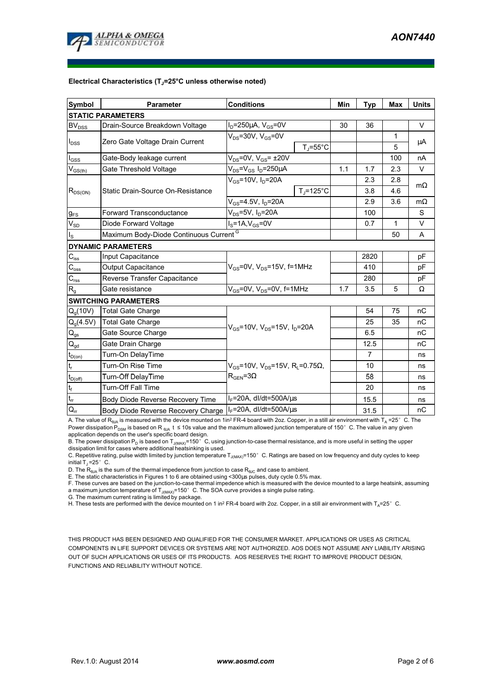

### **Electrical Characteristics (TJ=25°C unless otherwise noted)**

| <b>Symbol</b>                          | <b>Parameter</b>                                   | <b>Conditions</b>                                                                        |                     | Min  | <b>Typ</b> | <b>Max</b> | <b>Units</b> |  |  |
|----------------------------------------|----------------------------------------------------|------------------------------------------------------------------------------------------|---------------------|------|------------|------------|--------------|--|--|
| <b>STATIC PARAMETERS</b>               |                                                    |                                                                                          |                     |      |            |            |              |  |  |
| <b>BV<sub>DSS</sub></b>                | Drain-Source Breakdown Voltage                     | $I_D = 250 \mu A$ , $V_{GS} = 0V$                                                        |                     | 30   | 36         |            | $\vee$       |  |  |
| $I_{DSS}$                              | Zero Gate Voltage Drain Current                    | $V_{DS}$ =30V, $V_{GS}$ =0V                                                              |                     |      |            | 1          | μA           |  |  |
|                                        |                                                    |                                                                                          | $T_J = 55^{\circ}C$ |      |            | 5          |              |  |  |
| $I_{GSS}$                              | Gate-Body leakage current                          | $V_{DS}$ =0V, $V_{GS}$ = $\pm$ 20V                                                       |                     |      |            | 100        | nA           |  |  |
| $V_{\text{GS}(\text{th})}$             | Gate Threshold Voltage                             | $V_{DS} = V_{GS} I_D = 250 \mu A$                                                        |                     | 1.1  | 1.7        | 2.3        | $\vee$       |  |  |
|                                        | Static Drain-Source On-Resistance                  | $V_{GS}$ =10V, $I_D$ =20A                                                                |                     |      | 2.3        | 2.8        | $m\Omega$    |  |  |
| $R_{DS(ON)}$                           |                                                    |                                                                                          | $TJ=125^{\circ}C$   |      | 3.8        | 4.6        |              |  |  |
|                                        |                                                    | $V_{GS} = 4.5V, I_D = 20A$                                                               |                     |      | 2.9        | 3.6        | $m\Omega$    |  |  |
| <b>g</b> <sub>FS</sub>                 | <b>Forward Transconductance</b>                    | V <sub>DS</sub> =5V, I <sub>D</sub> =20A                                                 |                     | 100  |            | S          |              |  |  |
| $V_{SD}$                               | Diode Forward Voltage                              | $IS=1A, VGS=0V$                                                                          |                     | 0.7  | 1          | V          |              |  |  |
| $I_{\rm S}$                            | Maximum Body-Diode Continuous Current <sup>G</sup> |                                                                                          |                     |      |            | 50         | A            |  |  |
|                                        | <b>DYNAMIC PARAMETERS</b>                          |                                                                                          |                     |      |            |            |              |  |  |
| $C_{\text{iss}}$                       | Input Capacitance                                  |                                                                                          |                     |      | 2820       |            | pF           |  |  |
| $C_{\rm oss}$                          | Output Capacitance                                 | $V_{GS}$ =0V, $V_{DS}$ =15V, f=1MHz                                                      |                     |      | 410        |            | pF           |  |  |
| $C_{\rm rss}$                          | Reverse Transfer Capacitance                       |                                                                                          |                     | 280  |            | pF         |              |  |  |
| $R_{q}$                                | Gate resistance                                    | $V_{GS}$ =0V, $V_{DS}$ =0V, f=1MHz                                                       | 1.7                 | 3.5  | 5          | Ω          |              |  |  |
|                                        | <b>SWITCHING PARAMETERS</b>                        |                                                                                          |                     |      |            |            |              |  |  |
| $Q_q(10V)$                             | <b>Total Gate Charge</b>                           | $V_{GS}$ =10V, $V_{DS}$ =15V, $I_D$ =20A                                                 |                     |      | 54         | 75         | nC           |  |  |
| $Q_g(4.5V)$                            | <b>Total Gate Charge</b>                           |                                                                                          |                     |      | 25         | 35         | nC           |  |  |
| $\mathsf{Q}_{\mathsf{gs}}$             | Gate Source Charge                                 |                                                                                          |                     |      | 6.5        |            | nC           |  |  |
| $\mathsf{Q}_{\underline{\mathsf{gd}}}$ | Gate Drain Charge                                  |                                                                                          |                     |      | 12.5       |            | пC           |  |  |
| $t_{D(0n)}$                            | Turn-On DelayTime                                  |                                                                                          |                     |      | 7          |            | ns           |  |  |
| $\mathsf{t}_{\mathsf{r}}$              | Turn-On Rise Time                                  | $V_{GS}$ =10V, V <sub>DS</sub> =15V, R <sub>I</sub> =0.75Ω,<br>$\rm R_{GEN}$ =3 $\Omega$ |                     |      | 10         |            | ns           |  |  |
| $t_{D(off)}$                           | Turn-Off DelayTime                                 |                                                                                          |                     |      | 58         |            | ns           |  |  |
| $\mathfrak{t}_{\mathsf{f}}$            | Turn-Off Fall Time                                 |                                                                                          |                     |      | 20         |            | ns           |  |  |
| $t_{rr}$                               | Body Diode Reverse Recovery Time                   | $I_F$ =20A, dl/dt=500A/ $\mu$ s                                                          |                     |      | 15.5       |            | ns           |  |  |
| $Q_{rr}$                               | Body Diode Reverse Recovery Charge                 | $I_F$ =20A, dl/dt=500A/ $\mu$ s                                                          |                     | 31.5 |            | пC         |              |  |  |

A. The value of R<sub>θJA</sub> is measured with the device mounted on 1in<sup>2</sup> FR-4 board with 2oz. Copper, in a still air environment with T<sub>A</sub> =25°C. The Power dissipation P<sub>DSM</sub> is based on R<sub>AJA</sub> t ≤ 10s value and the maximum allowed junction temperature of 150°C. The value in any given application depends on the user's specific board design.

B. The power dissipation P<sub>D</sub> is based on T<sub>J(MAX)</sub>=150°C, using junction-to-case thermal resistance, and is more useful in setting the upper<br>dissipation limit for cases where additional heatsinking is used.

C. Repetitive rating, pulse width limited by junction temperature T<sub>J(MAX)</sub>=150°C. Ratings are based on low frequency and duty cycles to keep initial  $T_J = 25^\circ$  C.

D. The  $R_{AIA}$  is the sum of the thermal impedence from junction to case  $R_{AIC}$  and case to ambient.

E. The static characteristics in Figures 1 to 6 are obtained using <300µs pulses, duty cycle 0.5% max.

F. These curves are based on the junction-to-case thermal impedence which is measured with the device mounted to a large heatsink, assuming a maximum junction temperature of  $T_{J(MAX)}$ =150° C. The SOA curve provides a single pulse rating.

G. The maximum current rating is limited by package.

H. These tests are performed with the device mounted on 1 in<sup>2</sup> FR-4 board with 2oz. Copper, in a still air environment with T<sub>A</sub>=25°C.

THIS PRODUCT HAS BEEN DESIGNED AND QUALIFIED FOR THE CONSUMER MARKET. APPLICATIONS OR USES AS CRITICAL COMPONENTS IN LIFE SUPPORT DEVICES OR SYSTEMS ARE NOT AUTHORIZED. AOS DOES NOT ASSUME ANY LIABILITY ARISING OUT OF SUCH APPLICATIONS OR USES OF ITS PRODUCTS. AOS RESERVES THE RIGHT TO IMPROVE PRODUCT DESIGN, FUNCTIONS AND RELIABILITY WITHOUT NOTICE.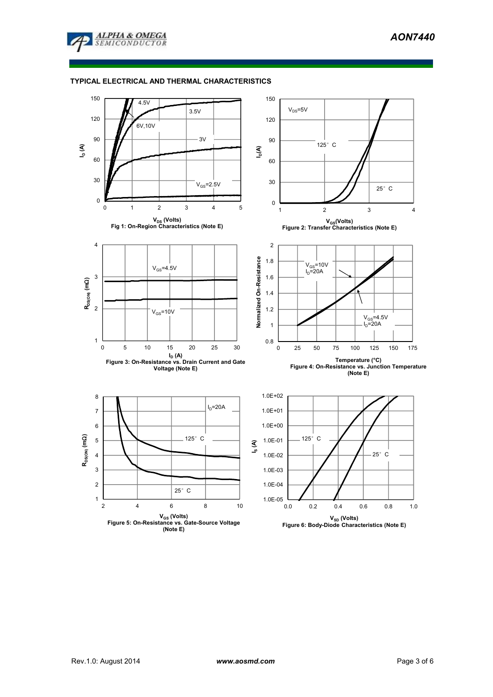

# **TYPICAL ELECTRICAL AND THERMAL CHARACTERISTICS**

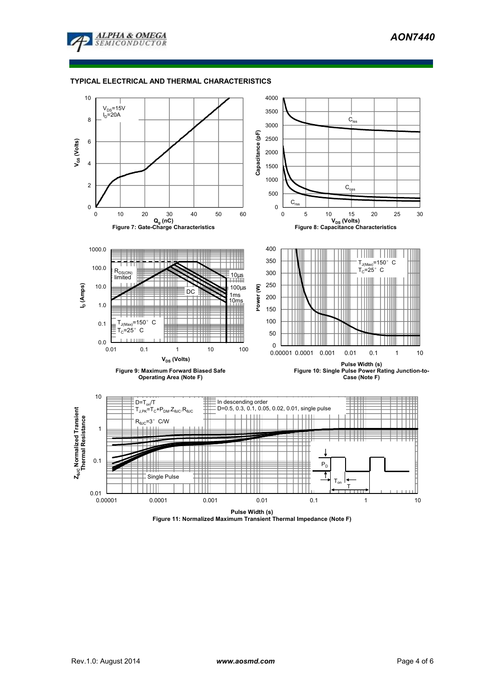

### **TYPICAL ELECTRICAL AND THERMAL CHARACTERISTICS**



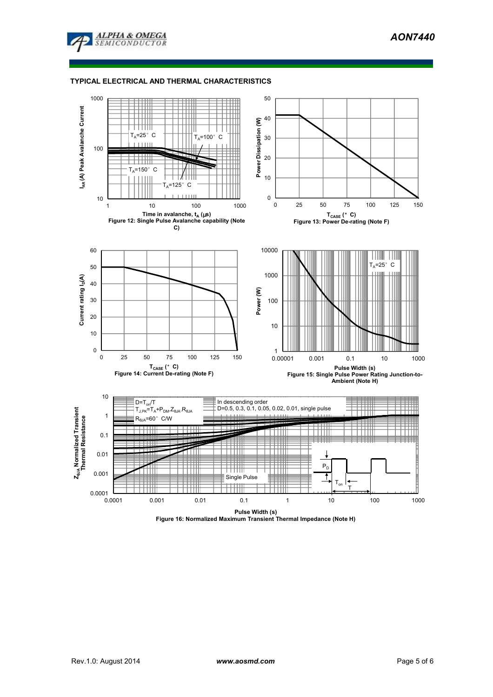

## **TYPICAL ELECTRICAL AND THERMAL CHARACTERISTICS**